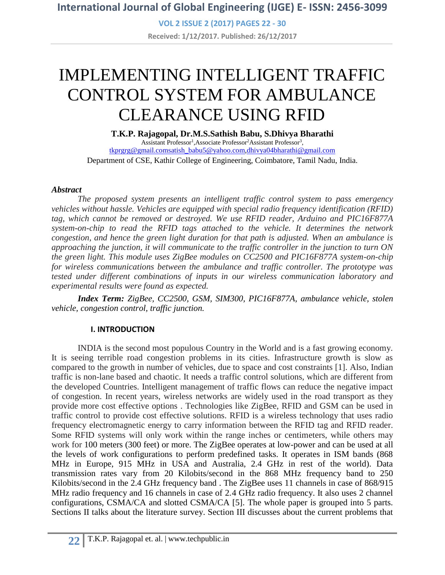**VOL 2 ISSUE 2 (2017) PAGES 22 - 30 Received: 1/12/2017. Published: 26/12/2017**

# IMPLEMENTING INTELLIGENT TRAFFIC CONTROL SYSTEM FOR AMBULANCE CLEARANCE USING RFID

**T.K.P. Rajagopal, Dr.M.S.Sathish Babu, S.Dhivya Bharathi**

Assistant Professor<sup>1</sup>, Associate Professor<sup>2</sup> Assistant Professor<sup>3</sup>, [tkprgrg@gmail.coms](mailto:tkprgrg@gmail.com)atish**\_**[babu5@yahoo.com,](mailto:tkprgrg@gmail.com)[dhivya04bharathi@gmail.com](mailto:dhivya04bharathi@gmail.com) Department of CSE, Kathir College of Engineering, Coimbatore, Tamil Nadu, India.

#### *Abstract*

*The proposed system presents an intelligent traffic control system to pass emergency vehicles without hassle. Vehicles are equipped with special radio frequency identification (RFID) tag, which cannot be removed or destroyed. We use RFID reader, Arduino and PIC16F877A system-on-chip to read the RFID tags attached to the vehicle. It determines the network congestion, and hence the green light duration for that path is adjusted. When an ambulance is approaching the junction, it will communicate to the traffic controller in the junction to turn ON the green light. This module uses ZigBee modules on CC2500 and PIC16F877A system-on-chip for wireless communications between the ambulance and traffic controller. The prototype was tested under different combinations of inputs in our wireless communication laboratory and experimental results were found as expected.*

*Index Term: ZigBee, CC2500, GSM, SIM300, PIC16F877A, ambulance vehicle, stolen vehicle, congestion control, traffic junction.*

#### **I. INTRODUCTION**

INDIA is the second most populous Country in the World and is a fast growing economy. It is seeing terrible road congestion problems in its cities. Infrastructure growth is slow as compared to the growth in number of vehicles, due to space and cost constraints [1]. Also, Indian traffic is non-lane based and chaotic. It needs a traffic control solutions, which are different from the developed Countries. Intelligent management of traffic flows can reduce the negative impact of congestion. In recent years, wireless networks are widely used in the road transport as they provide more cost effective options . Technologies like ZigBee, RFID and GSM can be used in traffic control to provide cost effective solutions. RFID is a wireless technology that uses radio frequency electromagnetic energy to carry information between the RFID tag and RFID reader. Some RFID systems will only work within the range inches or centimeters, while others may work for 100 meters (300 feet) or more. The ZigBee operates at low-power and can be used at all the levels of work configurations to perform predefined tasks. It operates in ISM bands (868 MHz in Europe, 915 MHz in USA and Australia, 2.4 GHz in rest of the world). Data transmission rates vary from 20 Kilobits/second in the 868 MHz frequency band to 250 Kilobits/second in the 2.4 GHz frequency band . The ZigBee uses 11 channels in case of 868/915 MHz radio frequency and 16 channels in case of 2*.*4 GHz radio frequency. It also uses 2 channel configurations, CSMA/CA and slotted CSMA/CA [5]. The whole paper is grouped into 5 parts. Sections II talks about the literature survey. Section III discusses about the current problems that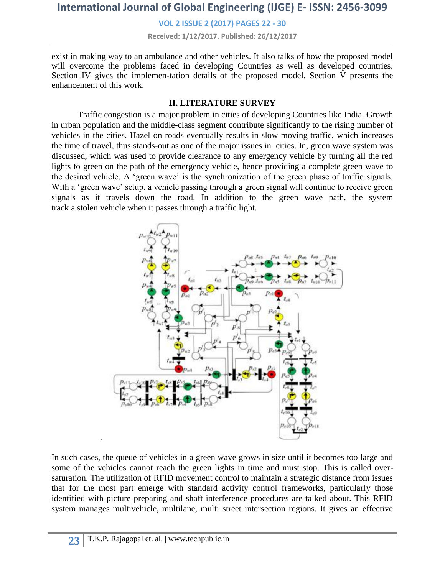**VOL 2 ISSUE 2 (2017) PAGES 22 - 30**

**Received: 1/12/2017. Published: 26/12/2017**

exist in making way to an ambulance and other vehicles. It also talks of how the proposed model will overcome the problems faced in developing Countries as well as developed countries. Section IV gives the implemen-tation details of the proposed model. Section V presents the enhancement of this work.

#### **II. LITERATURE SURVEY**

Traffic congestion is a major problem in cities of developing Countries like India. Growth in urban population and the middle-class segment contribute significantly to the rising number of vehicles in the cities. Hazel on roads eventually results in slow moving traffic, which increases the time of travel, thus stands-out as one of the major issues in cities. In, green wave system was discussed, which was used to provide clearance to any emergency vehicle by turning all the red lights to green on the path of the emergency vehicle, hence providing a complete green wave to the desired vehicle. A 'green wave' is the synchronization of the green phase of traffic signals. With a 'green wave' setup, a vehicle passing through a green signal will continue to receive green signals as it travels down the road. In addition to the green wave path, the system track a stolen vehicle when it passes through a traffic light.



In such cases, the queue of vehicles in a green wave grows in size until it becomes too large and some of the vehicles cannot reach the green lights in time and must stop. This is called oversaturation. The utilization of RFID movement control to maintain a strategic distance from issues that for the most part emerge with standard activity control frameworks, particularly those identified with picture preparing and shaft interference procedures are talked about. This RFID system manages multivehicle, multilane, multi street intersection regions. It gives an effective

.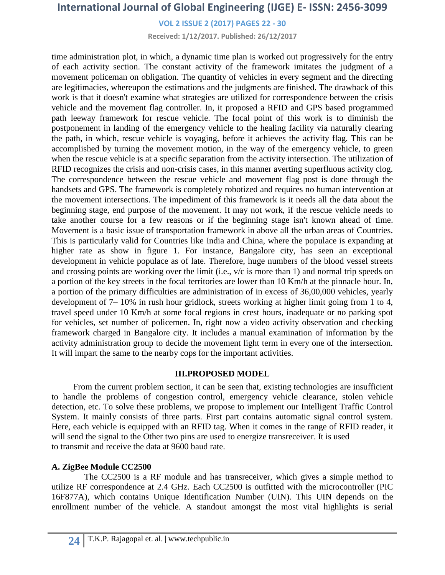**VOL 2 ISSUE 2 (2017) PAGES 22 - 30**

**Received: 1/12/2017. Published: 26/12/2017**

time administration plot, in which, a dynamic time plan is worked out progressively for the entry of each activity section. The constant activity of the framework imitates the judgment of a movement policeman on obligation. The quantity of vehicles in every segment and the directing are legitimacies, whereupon the estimations and the judgments are finished. The drawback of this work is that it doesn't examine what strategies are utilized for correspondence between the crisis vehicle and the movement flag controller. In, it proposed a RFID and GPS based programmed path leeway framework for rescue vehicle. The focal point of this work is to diminish the postponement in landing of the emergency vehicle to the healing facility via naturally clearing the path, in which, rescue vehicle is voyaging, before it achieves the activity flag. This can be accomplished by turning the movement motion, in the way of the emergency vehicle, to green when the rescue vehicle is at a specific separation from the activity intersection. The utilization of RFID recognizes the crisis and non-crisis cases, in this manner averting superfluous activity clog. The correspondence between the rescue vehicle and movement flag post is done through the handsets and GPS. The framework is completely robotized and requires no human intervention at the movement intersections. The impediment of this framework is it needs all the data about the beginning stage, end purpose of the movement. It may not work, if the rescue vehicle needs to take another course for a few reasons or if the beginning stage isn't known ahead of time. Movement is a basic issue of transportation framework in above all the urban areas of Countries. This is particularly valid for Countries like India and China, where the populace is expanding at higher rate as show in figure 1. For instance, Bangalore city, has seen an exceptional development in vehicle populace as of late. Therefore, huge numbers of the blood vessel streets and crossing points are working over the limit (i.e., v/c is more than 1) and normal trip speeds on a portion of the key streets in the focal territories are lower than 10 Km/h at the pinnacle hour. In, a portion of the primary difficulties are administration of in excess of 36,00,000 vehicles, yearly development of 7– 10% in rush hour gridlock, streets working at higher limit going from 1 to 4, travel speed under 10 Km/h at some focal regions in crest hours, inadequate or no parking spot for vehicles, set number of policemen. In, right now a video activity observation and checking framework charged in Bangalore city. It includes a manual examination of information by the activity administration group to decide the movement light term in every one of the intersection. It will impart the same to the nearby cops for the important activities.

#### **III.PROPOSED MODEL**

 From the current problem section, it can be seen that, existing technologies are insufficient to handle the problems of congestion control, emergency vehicle clearance, stolen vehicle detection, etc. To solve these problems, we propose to implement our Intelligent Traffic Control System. It mainly consists of three parts. First part contains automatic signal control system. Here, each vehicle is equipped with an RFID tag. When it comes in the range of RFID reader, it will send the signal to the Other two pins are used to energize transreceiver. It is used to transmit and receive the data at 9600 baud rate.

#### **A. ZigBee Module CC2500**

 The CC2500 is a RF module and has transreceiver, which gives a simple method to utilize RF correspondence at 2.4 GHz. Each CC2500 is outfitted with the microcontroller (PIC 16F877A), which contains Unique Identification Number (UIN). This UIN depends on the enrollment number of the vehicle. A standout amongst the most vital highlights is serial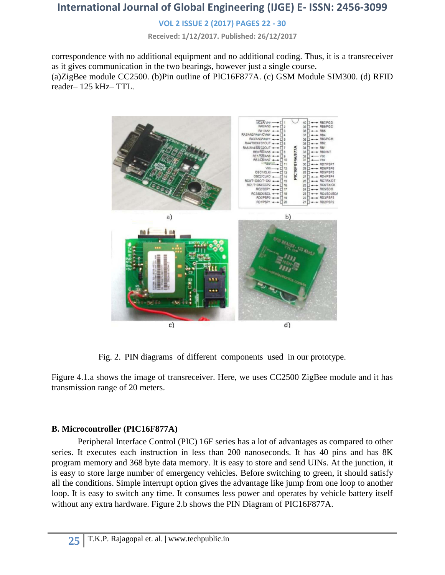**VOL 2 ISSUE 2 (2017) PAGES 22 - 30**

**Received: 1/12/2017. Published: 26/12/2017**

correspondence with no additional equipment and no additional coding. Thus, it is a transreceiver as it gives communication in the two bearings, however just a single course. (a)ZigBee module CC2500. (b)Pin outline of PIC16F877A. (c) GSM Module SIM300. (d) RFID reader– 125 kHz– TTL.



Fig. 2. PIN diagrams of different components used in our prototype.

Figure 4.1.a shows the image of transreceiver. Here, we uses CC2500 ZigBee module and it has transmission range of 20 meters.

#### **B. Microcontroller (PIC16F877A)**

Peripheral Interface Control (PIC) 16F series has a lot of advantages as compared to other series. It executes each instruction in less than 200 nanoseconds. It has 40 pins and has 8K program memory and 368 byte data memory. It is easy to store and send UINs. At the junction, it is easy to store large number of emergency vehicles. Before switching to green, it should satisfy all the conditions. Simple interrupt option gives the advantage like jump from one loop to another loop. It is easy to switch any time. It consumes less power and operates by vehicle battery itself without any extra hardware. Figure 2.b shows the PIN Diagram of PIC16F877A.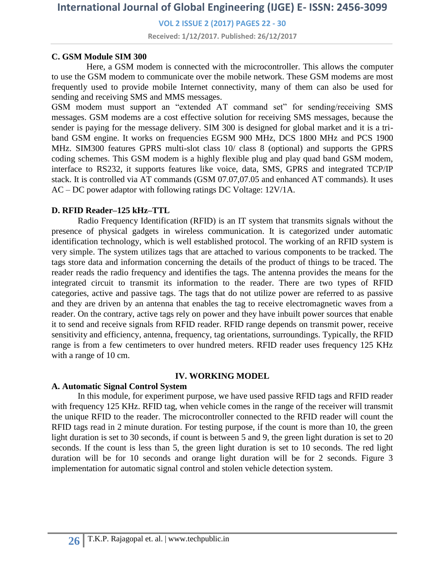**VOL 2 ISSUE 2 (2017) PAGES 22 - 30**

**Received: 1/12/2017. Published: 26/12/2017**

#### **C. GSM Module SIM 300**

 Here, a GSM modem is connected with the microcontroller. This allows the computer to use the GSM modem to communicate over the mobile network. These GSM modems are most frequently used to provide mobile Internet connectivity, many of them can also be used for sending and receiving SMS and MMS messages.

GSM modem must support an "extended AT command set" for sending/receiving SMS messages. GSM modems are a cost effective solution for receiving SMS messages, because the sender is paying for the message delivery. SIM 300 is designed for global market and it is a triband GSM engine. It works on frequencies EGSM 900 MHz, DCS 1800 MHz and PCS 1900 MHz. SIM300 features GPRS multi-slot class 10/ class 8 (optional) and supports the GPRS coding schemes. This GSM modem is a highly flexible plug and play quad band GSM modem, interface to RS232, it supports features like voice, data, SMS, GPRS and integrated TCP/IP stack. It is controlled via AT commands (GSM 07.07,07.05 and enhanced AT commands). It uses AC – DC power adaptor with following ratings DC Voltage: 12V/1A.

#### **D. RFID Reader–125 kHz–TTL**

Radio Frequency Identification (RFID) is an IT system that transmits signals without the presence of physical gadgets in wireless communication. It is categorized under automatic identification technology, which is well established protocol. The working of an RFID system is very simple. The system utilizes tags that are attached to various components to be tracked. The tags store data and information concerning the details of the product of things to be traced. The reader reads the radio frequency and identifies the tags. The antenna provides the means for the integrated circuit to transmit its information to the reader. There are two types of RFID categories, active and passive tags. The tags that do not utilize power are referred to as passive and they are driven by an antenna that enables the tag to receive electromagnetic waves from a reader. On the contrary, active tags rely on power and they have inbuilt power sources that enable it to send and receive signals from RFID reader. RFID range depends on transmit power, receive sensitivity and efficiency, antenna, frequency, tag orientations, surroundings. Typically, the RFID range is from a few centimeters to over hundred meters. RFID reader uses frequency 125 KHz with a range of 10 cm.

#### **IV. WORKING MODEL**

#### **A. Automatic Signal Control System**

In this module, for experiment purpose, we have used passive RFID tags and RFID reader with frequency 125 KHz. RFID tag, when vehicle comes in the range of the receiver will transmit the unique RFID to the reader. The microcontroller connected to the RFID reader will count the RFID tags read in 2 minute duration. For testing purpose, if the count is more than 10, the green light duration is set to 30 seconds, if count is between 5 and 9, the green light duration is set to 20 seconds. If the count is less than 5, the green light duration is set to 10 seconds. The red light duration will be for 10 seconds and orange light duration will be for 2 seconds. Figure 3 implementation for automatic signal control and stolen vehicle detection system.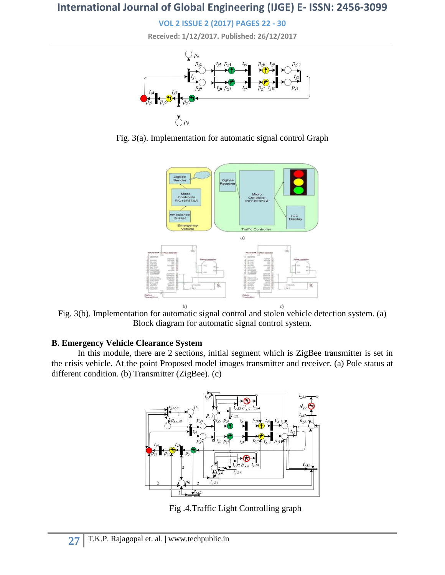**VOL 2 ISSUE 2 (2017) PAGES 22 - 30 Received: 1/12/2017. Published: 26/12/2017**



Fig. 3(a). Implementation for automatic signal control Graph



Fig. 3(b). Implementation for automatic signal control and stolen vehicle detection system. (a) Block diagram for automatic signal control system.

### **B. Emergency Vehicle Clearance System**

In this module, there are 2 sections, initial segment which is ZigBee transmitter is set in the crisis vehicle. At the point Proposed model images transmitter and receiver. (a) Pole status at different condition. (b) Transmitter (ZigBee). (c)



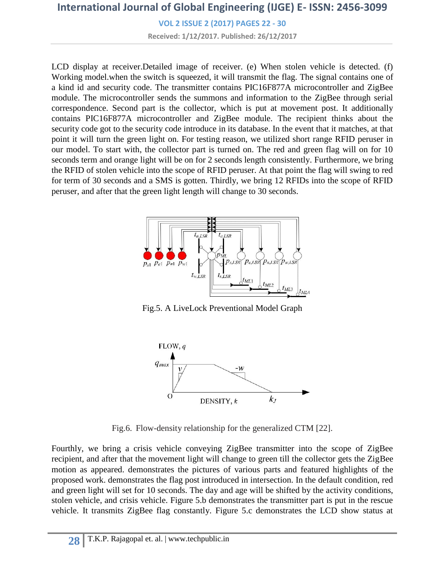**VOL 2 ISSUE 2 (2017) PAGES 22 - 30 Received: 1/12/2017. Published: 26/12/2017**

LCD display at receiver. Detailed image of receiver. (e) When stolen vehicle is detected. (f) Working model.when the switch is squeezed, it will transmit the flag. The signal contains one of a kind id and security code. The transmitter contains PIC16F877A microcontroller and ZigBee module. The microcontroller sends the summons and information to the ZigBee through serial correspondence. Second part is the collector, which is put at movement post. It additionally contains PIC16F877A microcontroller and ZigBee module. The recipient thinks about the security code got to the security code introduce in its database. In the event that it matches, at that point it will turn the green light on. For testing reason, we utilized short range RFID peruser in our model. To start with, the collector part is turned on. The red and green flag will on for 10 seconds term and orange light will be on for 2 seconds length consistently. Furthermore, we bring the RFID of stolen vehicle into the scope of RFID peruser. At that point the flag will swing to red for term of 30 seconds and a SMS is gotten. Thirdly, we bring 12 RFIDs into the scope of RFID peruser, and after that the green light length will change to 30 seconds.



Fig.5. A LiveLock Preventional Model Graph



Fig.6. Flow-density relationship for the generalized CTM [22].

Fourthly, we bring a crisis vehicle conveying ZigBee transmitter into the scope of ZigBee recipient, and after that the movement light will change to green till the collector gets the ZigBee motion as appeared. demonstrates the pictures of various parts and featured highlights of the proposed work. demonstrates the flag post introduced in intersection. In the default condition, red and green light will set for 10 seconds. The day and age will be shifted by the activity conditions, stolen vehicle, and crisis vehicle. Figure 5.b demonstrates the transmitter part is put in the rescue vehicle. It transmits ZigBee flag constantly. Figure 5.c demonstrates the LCD show status at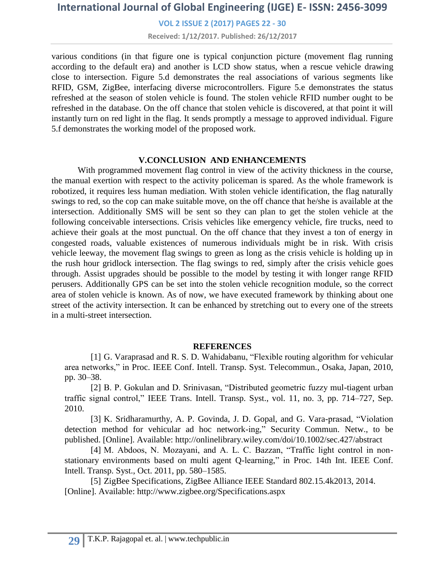**VOL 2 ISSUE 2 (2017) PAGES 22 - 30**

**Received: 1/12/2017. Published: 26/12/2017**

various conditions (in that figure one is typical conjunction picture (movement flag running according to the default era) and another is LCD show status, when a rescue vehicle drawing close to intersection. Figure 5.d demonstrates the real associations of various segments like RFID, GSM, ZigBee, interfacing diverse microcontrollers. Figure 5.e demonstrates the status refreshed at the season of stolen vehicle is found. The stolen vehicle RFID number ought to be refreshed in the database. On the off chance that stolen vehicle is discovered, at that point it will instantly turn on red light in the flag. It sends promptly a message to approved individual. Figure 5.f demonstrates the working model of the proposed work.

#### **V.CONCLUSION AND ENHANCEMENTS**

With programmed movement flag control in view of the activity thickness in the course, the manual exertion with respect to the activity policeman is spared. As the whole framework is robotized, it requires less human mediation. With stolen vehicle identification, the flag naturally swings to red, so the cop can make suitable move, on the off chance that he/she is available at the intersection. Additionally SMS will be sent so they can plan to get the stolen vehicle at the following conceivable intersections. Crisis vehicles like emergency vehicle, fire trucks, need to achieve their goals at the most punctual. On the off chance that they invest a ton of energy in congested roads, valuable existences of numerous individuals might be in risk. With crisis vehicle leeway, the movement flag swings to green as long as the crisis vehicle is holding up in the rush hour gridlock intersection. The flag swings to red, simply after the crisis vehicle goes through. Assist upgrades should be possible to the model by testing it with longer range RFID perusers. Additionally GPS can be set into the stolen vehicle recognition module, so the correct area of stolen vehicle is known. As of now, we have executed framework by thinking about one street of the activity intersection. It can be enhanced by stretching out to every one of the streets in a multi-street intersection.

#### **REFERENCES**

[1] G. Varaprasad and R. S. D. Wahidabanu, "Flexible routing algorithm for vehicular area networks," in Proc. IEEE Conf. Intell. Transp. Syst. Telecommun., Osaka, Japan, 2010, pp. 30–38.

[2] B. P. Gokulan and D. Srinivasan, "Distributed geometric fuzzy mul-tiagent urban traffic signal control," IEEE Trans. Intell. Transp. Syst., vol. 11, no. 3, pp. 714–727, Sep. 2010.

[3] K. Sridharamurthy, A. P. Govinda, J. D. Gopal, and G. Vara-prasad, "Violation detection method for vehicular ad hoc network-ing," Security Commun. Netw., to be published. [Online]. Available: http://onlinelibrary.wiley.com/doi/10.1002/sec.427/abstract

[4] M. Abdoos, N. Mozayani, and A. L. C. Bazzan, "Traffic light control in nonstationary environments based on multi agent Q-learning," in Proc. 14th Int. IEEE Conf. Intell. Transp. Syst., Oct. 2011, pp. 580–1585.

[5] ZigBee Specifications, ZigBee Alliance IEEE Standard 802.15.4k2013, 2014. [Online]. Available: http://www.zigbee.org/Specifications.aspx